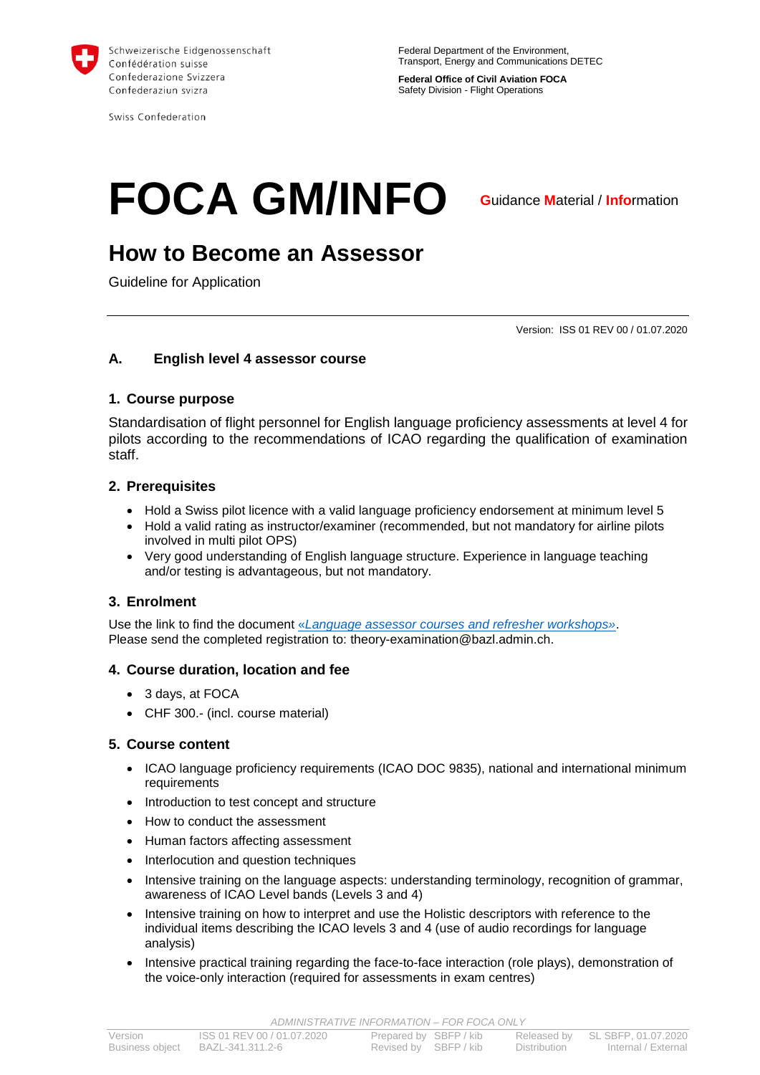

Swiss Confederation

**Federal Office of Civil Aviation FOCA** Safety Division - Flight Operations

# **FOCA GM/INFO**

**G**uidance **M**aterial / **Info**rmation

# **How to Become an Assessor**

Guideline for Application

Version: ISS 01 REV 00 / 01.07.2020

# **A. English level 4 assessor course**

#### **1. Course purpose**

Standardisation of flight personnel for English language proficiency assessments at level 4 for pilots according to the recommendations of ICAO regarding the qualification of examination staff.

#### **2. Prerequisites**

- Hold a Swiss pilot licence with a valid language proficiency endorsement at minimum level 5
- Hold a valid rating as instructor/examiner (recommended, but not mandatory for airline pilots involved in multi pilot OPS)
- Very good understanding of English language structure. Experience in language teaching and/or testing is advantageous, but not mandatory.

# **3. Enrolment**

Use the link to find the document «*[Language assessor courses and refresher workshops»](https://www.bazl.admin.ch/bazl/en/home/specialists/training-and-licences/examiners-for-pilot-examinations.html)*. Please send the completed registration to: theory-examination@bazl.admin.ch.

#### **4. Course duration, location and fee**

- 3 days, at FOCA
- CHF 300.- (incl. course material)

#### **5. Course content**

- ICAO language proficiency requirements (ICAO DOC 9835), national and international minimum requirements
- Introduction to test concept and structure
- How to conduct the assessment
- Human factors affecting assessment
- Interlocution and question techniques
- Intensive training on the language aspects: understanding terminology, recognition of grammar, awareness of ICAO Level bands (Levels 3 and 4)
- Intensive training on how to interpret and use the Holistic descriptors with reference to the individual items describing the ICAO levels 3 and 4 (use of audio recordings for language analysis)
- Intensive practical training regarding the face-to-face interaction (role plays), demonstration of the voice-only interaction (required for assessments in exam centres)

*ADMINISTRATIVE INFORMATION – FOR FOCA ONLY*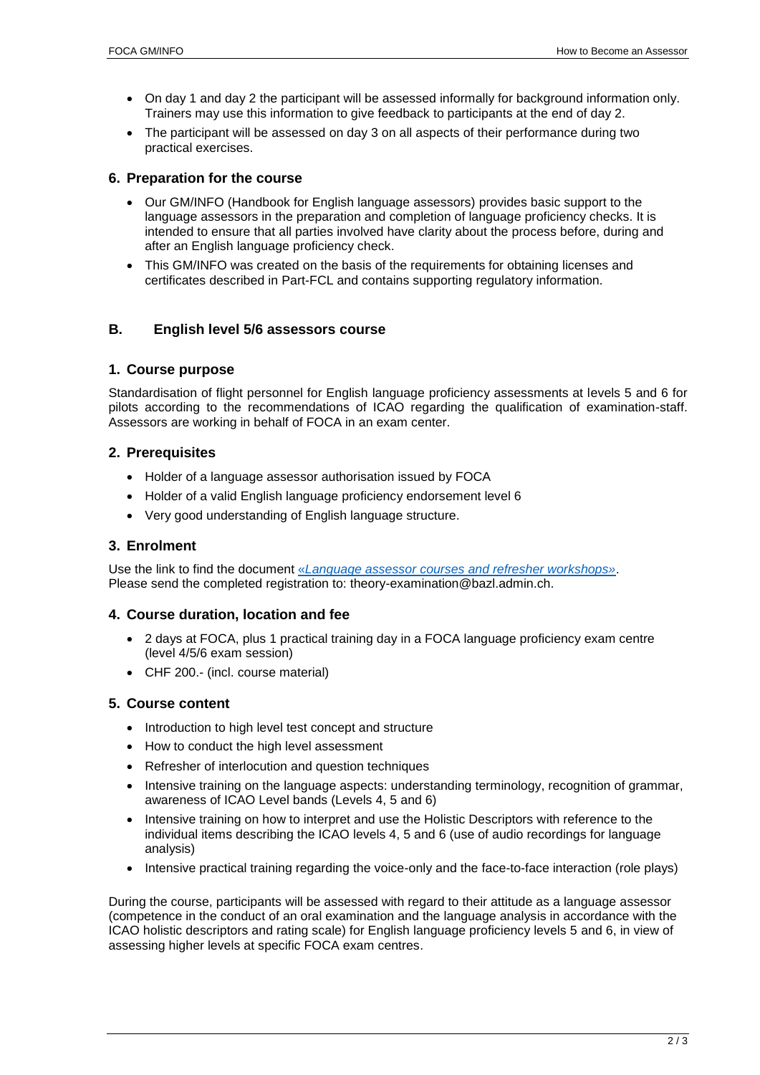- On day 1 and day 2 the participant will be assessed informally for background information only. Trainers may use this information to give feedback to participants at the end of day 2.
- The participant will be assessed on day 3 on all aspects of their performance during two practical exercises.

#### **6. Preparation for the course**

- Our GM/INFO (Handbook for English language assessors) provides basic support to the language assessors in the preparation and completion of language proficiency checks. It is intended to ensure that all parties involved have clarity about the process before, during and after an English language proficiency check.
- This GM/INFO was created on the basis of the requirements for obtaining licenses and certificates described in Part-FCL and contains supporting regulatory information.

# **B. English level 5/6 assessors course**

#### **1. Course purpose**

Standardisation of flight personnel for English language proficiency assessments at levels 5 and 6 for pilots according to the recommendations of ICAO regarding the qualification of examination-staff. Assessors are working in behalf of FOCA in an exam center.

#### **2. Prerequisites**

- Holder of a language assessor authorisation issued by FOCA
- Holder of a valid English language proficiency endorsement level 6
- Very good understanding of English language structure.

#### **3. Enrolment**

Use the link to find the document «*[Language assessor courses and refresher workshops»](https://www.bazl.admin.ch/bazl/en/home/specialists/training-and-licences/examiners-for-pilot-examinations.html)*. Please send the completed registration to: theory-examination@bazl.admin.ch.

#### **4. Course duration, location and fee**

- 2 days at FOCA, plus 1 practical training day in a FOCA language proficiency exam centre (level 4/5/6 exam session)
- CHF 200.- (incl. course material)

#### **5. Course content**

- Introduction to high level test concept and structure
- How to conduct the high level assessment
- Refresher of interlocution and question techniques
- Intensive training on the language aspects: understanding terminology, recognition of grammar, awareness of ICAO Level bands (Levels 4, 5 and 6)
- Intensive training on how to interpret and use the Holistic Descriptors with reference to the individual items describing the ICAO levels 4, 5 and 6 (use of audio recordings for language analysis)
- Intensive practical training regarding the voice-only and the face-to-face interaction (role plays)

During the course, participants will be assessed with regard to their attitude as a language assessor (competence in the conduct of an oral examination and the language analysis in accordance with the ICAO holistic descriptors and rating scale) for English language proficiency levels 5 and 6, in view of assessing higher levels at specific FOCA exam centres.